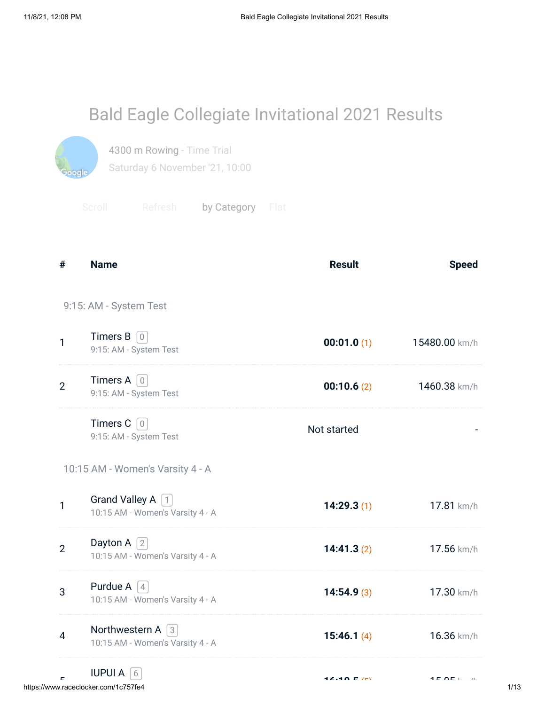| <b>Bald Eagle Collegiate Invitational 2021 Results</b> |  |
|--------------------------------------------------------|--|
|--------------------------------------------------------|--|



4300 m Rowing - Time Trial Saturday 6 November '21, 10:00

Scroll Refresh by Category Flat

| #              | <b>Name</b>                                                   | <b>Result</b> | <b>Speed</b>                                 |
|----------------|---------------------------------------------------------------|---------------|----------------------------------------------|
|                | 9:15: AM - System Test                                        |               |                                              |
| $\mathbf{1}$   | Timers $B$ 0<br>9:15: AM - System Test                        | 00:01.0(1)    | 15480.00 km/h                                |
| $\overline{2}$ | <b>Timers A</b> $\boxed{0}$<br>9:15: AM - System Test         | 00:10.6(2)    | 1460.38 km/h                                 |
|                | Timers $C$ 0<br>9:15: AM - System Test                        | Not started   |                                              |
|                | 10:15 AM - Women's Varsity 4 - A                              |               |                                              |
| $\mathbf{1}$   | Grand Valley A 1<br>10:15 AM - Women's Varsity 4 - A          | 14:29.3(1)    | 17.81 km/h                                   |
| $\overline{2}$ | Dayton A $\sqrt{2}$<br>10:15 AM - Women's Varsity 4 - A       | 14:41.3(2)    | 17.56 km/h                                   |
| 3              | Purdue A $\left[4\right]$<br>10:15 AM - Women's Varsity 4 - A | 14:54.9(3)    | 17.30 km/h                                   |
| $\overline{4}$ | Northwestern A $\sqrt{3}$<br>10:15 AM - Women's Varsity 4 - A | 15:46.1(4)    | 16.36 km/h                                   |
|                | <b>IUPUI A</b> $\left[6\right]$                               |               | $\lambda$ $\sim$ $\sim$ $\sim$ $\sim$ $\sim$ |

لى سابق بين المستخدم المستخدم المستخدم المستخدم المستخدم المستخدم المستخدم المستخدم المستخدم المستخدم المستخدم<br>1/13 المستخدم المستخدم المستخدم المستخدم المستخدم المستخدم المستخدم المستخدم المستخدم المستخدم المستخدم المستخ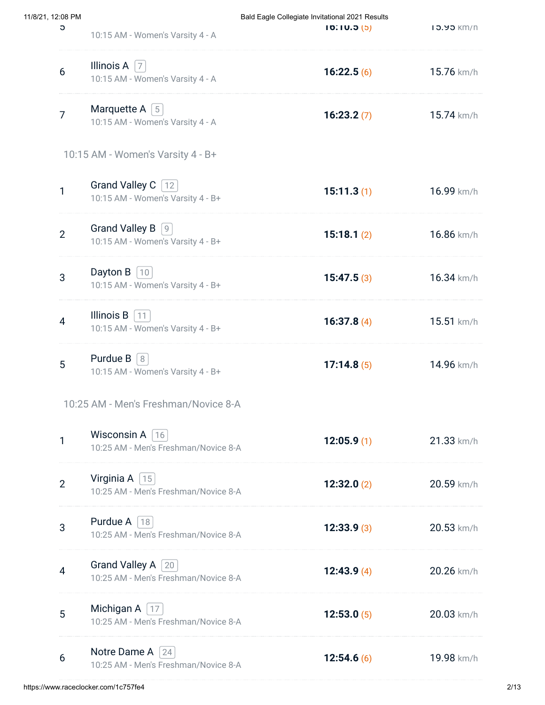| 11/8/21, 12:08 PM |                |                                                                       | Bald Eagle Collegiate Invitational 2021 Results |                   |
|-------------------|----------------|-----------------------------------------------------------------------|-------------------------------------------------|-------------------|
|                   | C              | 10:15 AM - Women's Varsity 4 - A                                      | 10.10.5(5)                                      | <b>13.93 KM/h</b> |
|                   | 6              | Illinois A $\vert$ 7<br>10:15 AM - Women's Varsity 4 - A              | 16:22.5(6)                                      | 15.76 km/h        |
|                   | $\overline{7}$ | Marquette A $\lceil 5 \rceil$<br>10:15 AM - Women's Varsity 4 - A     | 16:23.2(7)                                      | 15.74 km/h        |
|                   |                | 10:15 AM - Women's Varsity 4 - B+                                     |                                                 |                   |
|                   | 1              | Grand Valley C   12<br>10:15 AM - Women's Varsity 4 - B+              | 15:11.3(1)                                      | 16.99 km/h        |
|                   | $\overline{2}$ | <b>Grand Valley B</b><br> 9 <br>10:15 AM - Women's Varsity 4 - B+     | 15:18.1(2)                                      | 16.86 km/h        |
|                   | 3              | Dayton B $ 10 $<br>10:15 AM - Women's Varsity 4 - B+                  | 15:47.5(3)                                      | 16.34 km/h        |
|                   | $\overline{4}$ | Illinois $B$ [11]<br>10:15 AM - Women's Varsity 4 - B+                | 16:37.8 $(4)$                                   | 15.51 km/h        |
|                   | 5              | Purdue $B \mid 8$<br>10:15 AM - Women's Varsity 4 - B+                | 17:14.8(5)                                      | 14.96 km/h        |
|                   |                | 10:25 AM - Men's Freshman/Novice 8-A                                  |                                                 |                   |
|                   | 1              | Wisconsin A $\left[16\right]$<br>10:25 AM - Men's Freshman/Novice 8-A | 12:05.9(1)                                      | 21.33 km/h        |
|                   | $\overline{2}$ | Virginia A $\vert$ 15<br>10:25 AM - Men's Freshman/Novice 8-A         | 12:32.0(2)                                      | 20.59 km/h        |
|                   | 3              | Purdue A $\lceil 18 \rceil$<br>10:25 AM - Men's Freshman/Novice 8-A   | 12:33.9(3)                                      | 20.53 km/h        |
|                   | $\overline{4}$ | Grand Valley A 20<br>10:25 AM - Men's Freshman/Novice 8-A             | 12:43.9(4)                                      | 20.26 km/h        |
|                   | 5              | Michigan A $\left[17\right]$<br>10:25 AM - Men's Freshman/Novice 8-A  | 12:53.0(5)                                      | 20.03 km/h        |
|                   | 6              | Notre Dame A $\vert$ 24<br>10:25 AM - Men's Freshman/Novice 8-A       | 12:54.6(6)                                      | 19.98 km/h        |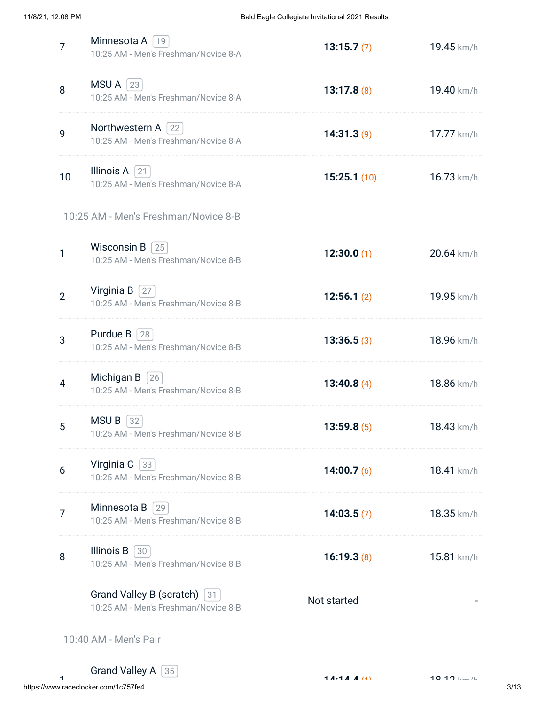| 7              | Minnesota A<br>  19<br>10:25 AM - Men's Freshman/Novice 8-A         | 13:15.7(7)    | 19.45 km/h   |
|----------------|---------------------------------------------------------------------|---------------|--------------|
| 8              | $MSU A$  23<br>10:25 AM - Men's Freshman/Novice 8-A                 | 13:17.8(8)    | 19.40 km/h   |
| 9              | Northwestern A $ 22 $<br>10:25 AM - Men's Freshman/Novice 8-A       | 14:31.3(9)    | 17.77 km/h   |
| 10             | Illinois $A$ [21]<br>10:25 AM - Men's Freshman/Novice 8-A           | 15:25.1(10)   | 16.73 km/h   |
|                | 10:25 AM - Men's Freshman/Novice 8-B                                |               |              |
| 1              | Wisconsin B $ 25 $<br>10:25 AM - Men's Freshman/Novice 8-B          | 12:30.0(1)    | 20.64 km/h   |
| $\overline{2}$ | Virginia $B$   27<br>10:25 AM - Men's Freshman/Novice 8-B           | 12:56.1(2)    | 19.95 km/h   |
| 3              | Purdue $B$   28  <br>10:25 AM - Men's Freshman/Novice 8-B           | 13:36.5(3)    | 18.96 km/h   |
| $\overline{4}$ | Michigan $B$  26<br>10:25 AM - Men's Freshman/Novice 8-B            | 13:40.8 $(4)$ | 18.86 km/h   |
| 5              | <b>MSUB</b><br>32<br>10:25 AM - Men's Freshman/Novice 8-B           | 13:59.8(5)    | $18.43$ km/h |
| 6              | Virginia C [33]<br>10:25 AM - Men's Freshman/Novice 8-B             | 14:00.7 $(6)$ | 18.41 km/h   |
| 7              | Minnesota B<br>29<br>10:25 AM - Men's Freshman/Novice 8-B           | 14:03.5(7)    | 18.35 km/h   |
| 8              | Illinois B<br>$ 30\rangle$<br>10:25 AM - Men's Freshman/Novice 8-B  | 16:19.3(8)    | 15.81 km/h   |
|                | Grand Valley B (scratch) 31<br>10:25 AM - Men's Freshman/Novice 8-B | Not started   |              |

10:40 AM - Men's Pair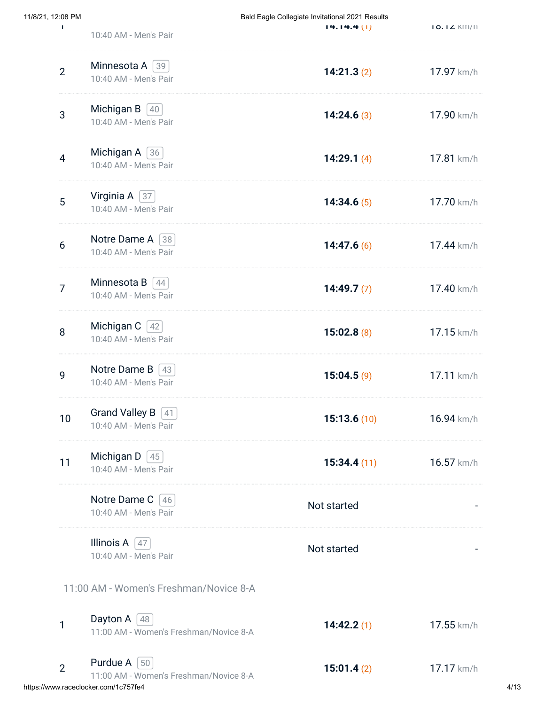| 11/8/21, 12:08 PM<br>T. |                                                                      | Bald Eagle Collegiate Invitational 2021 Results<br>14.14.4(1) | $IO. IZ$ $KIII/II$ |
|-------------------------|----------------------------------------------------------------------|---------------------------------------------------------------|--------------------|
|                         | 10:40 AM - Men's Pair                                                |                                                               |                    |
| $\overline{2}$          | Minnesota A [39]<br>10:40 AM - Men's Pair                            | 14:21.3(2)                                                    | 17.97 km/h         |
| 3                       | Michigan B $\vert$ 40<br>10:40 AM - Men's Pair                       | 14:24.6(3)                                                    | 17.90 km/h         |
| $\overline{4}$          | Michigan A $\lceil 36 \rceil$<br>10:40 AM - Men's Pair               | 14:29.1 $(4)$                                                 | 17.81 km/h         |
| 5                       | Virginia A $\sqrt{37}$<br>10:40 AM - Men's Pair                      | 14:34.6(5)                                                    | 17.70 km/h         |
| $6\phantom{1}$          | Notre Dame A 38<br>10:40 AM - Men's Pair                             | 14:47.6(6)                                                    | 17.44 km/h         |
| $\overline{7}$          | Minnesota B $[44]$<br>10:40 AM - Men's Pair                          | 14:49.7(7)                                                    | 17.40 km/h         |
| 8                       | Michigan C $[42]$<br>10:40 AM - Men's Pair                           | 15:02.8(8)                                                    | 17.15 km/h         |
| 9                       | Notre Dame B $\vert$ 43<br>10:40 AM - Men's Pair                     | 15:04.5(9)                                                    | 17.11 km/h         |
| 10                      | Grand Valley B $\boxed{41}$<br>10:40 AM - Men's Pair                 | 15:13.6(10)                                                   | 16.94 km/h         |
| 11                      | Michigan D $\left[45\right]$<br>10:40 AM - Men's Pair                | 15:34.4(11)                                                   | 16.57 km/h         |
|                         | Notre Dame C [46]<br>10:40 AM - Men's Pair                           | Not started                                                   |                    |
|                         | Illinois A $\sqrt{47}$<br>10:40 AM - Men's Pair                      | Not started                                                   |                    |
|                         | 11:00 AM - Women's Freshman/Novice 8-A                               |                                                               |                    |
| 1                       | Dayton A $\left[48\right]$<br>11:00 AM - Women's Freshman/Novice 8-A | 14:42.2(1)                                                    | 17.55 km/h         |
| $\overline{2}$          | Purdue A $\vert$ 50                                                  | 15:01.4(2)<br>11:00 AM - Women's Freshman/Novice 8-A          | 17.17 km/h         |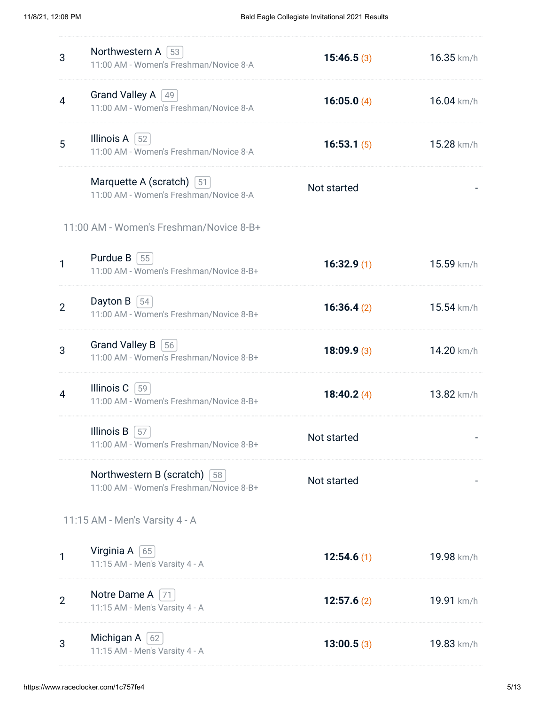| 3              | Northwestern A $\vert$ 53<br>11:00 AM - Women's Freshman/Novice 8-A                   | 15:46.5(3)    | 16.35 km/h |
|----------------|---------------------------------------------------------------------------------------|---------------|------------|
| $\overline{4}$ | Grand Valley A [49]<br>11:00 AM - Women's Freshman/Novice 8-A                         | 16:05.0 $(4)$ | 16.04 km/h |
| 5              | Illinois A $ 52 $<br>11:00 AM - Women's Freshman/Novice 8-A                           | 16:53.1(5)    | 15.28 km/h |
|                | Marquette A (scratch) [51]<br>11:00 AM - Women's Freshman/Novice 8-A                  | Not started   |            |
|                | 11:00 AM - Women's Freshman/Novice 8-B+                                               |               |            |
| 1              | Purdue $B$ [55]<br>11:00 AM - Women's Freshman/Novice 8-B+                            | 16:32.9(1)    | 15.59 km/h |
| $\overline{2}$ | Dayton B $ 54 $<br>11:00 AM - Women's Freshman/Novice 8-B+                            | 16:36.4(2)    | 15.54 km/h |
| 3              | <b>Grand Valley B</b><br> 56 <br>11:00 AM - Women's Freshman/Novice 8-B+              | 18:09.9(3)    | 14.20 km/h |
| 4              | Illinois C<br> 59 <br>11:00 AM - Women's Freshman/Novice 8-B+                         | 18:40.2 $(4)$ | 13.82 km/h |
|                | Illinois B<br>57<br>11:00 AM - Women's Freshman/Novice 8-B+                           | Not started   |            |
|                | Northwestern B (scratch) $\left[58\right]$<br>11:00 AM - Women's Freshman/Novice 8-B+ | Not started   |            |
|                | 11:15 AM - Men's Varsity 4 - A                                                        |               |            |
| 1              | Virginia A $\lceil 65 \rceil$<br>11:15 AM - Men's Varsity 4 - A                       | 12:54.6(1)    | 19.98 km/h |
| $\overline{2}$ | Notre Dame A<br>71<br>11:15 AM - Men's Varsity 4 - A                                  | 12:57.6(2)    | 19.91 km/h |
| 3              | Michigan A [62]<br>11:15 AM - Men's Varsity 4 - A                                     | 13:00.5(3)    | 19.83 km/h |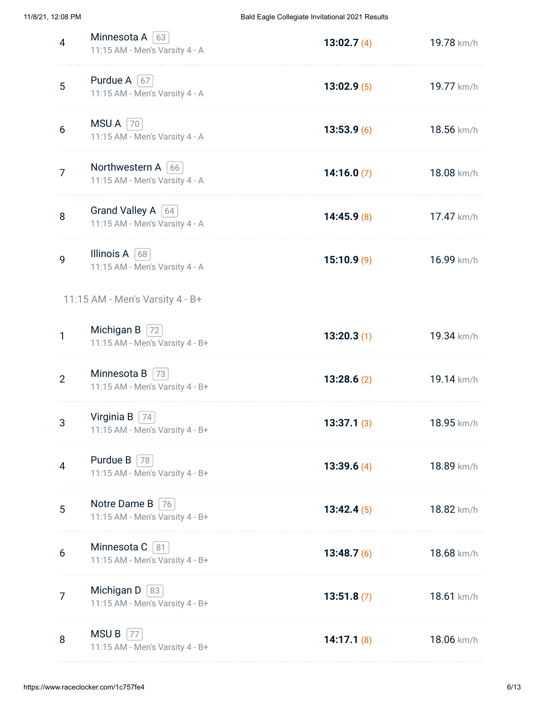| 4              | Minnesota A $\lceil 63 \rceil$<br>11:15 AM - Men's Varsity 4 - A | 13:02.7(4)    | 19.78 km/h |
|----------------|------------------------------------------------------------------|---------------|------------|
| 5              | Purdue A $\boxed{67}$<br>11:15 AM - Men's Varsity 4 - A          | 13:02.9(5)    | 19.77 km/h |
| 6              | $MSU A$  70<br>11:15 AM - Men's Varsity 4 - A                    | 13:53.9(6)    | 18.56 km/h |
| $\overline{7}$ | Northwestern A $\vert$ 66<br>11:15 AM - Men's Varsity 4 - A      | 14:16.0 $(7)$ | 18.08 km/h |
| 8              | Grand Valley A   64<br>11:15 AM - Men's Varsity 4 - A            | 14:45.9(8)    | 17.47 km/h |
| 9              | Illinois A [68]<br>11:15 AM - Men's Varsity 4 - A                | 15:10.9(9)    | 16.99 km/h |
|                | 11:15 AM - Men's Varsity 4 - B+                                  |               |            |
| 1              | Michigan B $ 72 $<br>11:15 AM - Men's Varsity 4 - B+             | 13:20.3(1)    | 19.34 km/h |
| $\overline{2}$ | Minnesota B<br> 73 <br>11:15 AM - Men's Varsity 4 - B+           | 13:28.6(2)    | 19.14 km/h |
| 3              | Virginia B $\vert$ 74<br>11:15 AM - Men's Varsity 4 - B+         | 13:37.1(3)    | 18.95 km/h |
| 4              | Purdue B $\sqrt{78}$<br>11:15 AM - Men's Varsity 4 - B+          | 13:39.6 $(4)$ | 18.89 km/h |
| 5              | Notre Dame B<br>76<br>11:15 AM - Men's Varsity 4 - B+            | 13:42.4(5)    | 18.82 km/h |
| 6              | Minnesota C<br>81<br>11:15 AM - Men's Varsity 4 - B+             | 13:48.7 $(6)$ | 18.68 km/h |
| 7              | Michigan D $ 83 $<br>11:15 AM - Men's Varsity 4 - B+             | 13:51.8(7)    | 18.61 km/h |
| 8              | MSU B<br>77<br>11:15 AM - Men's Varsity 4 - B+                   | 14:17.1(8)    | 18.06 km/h |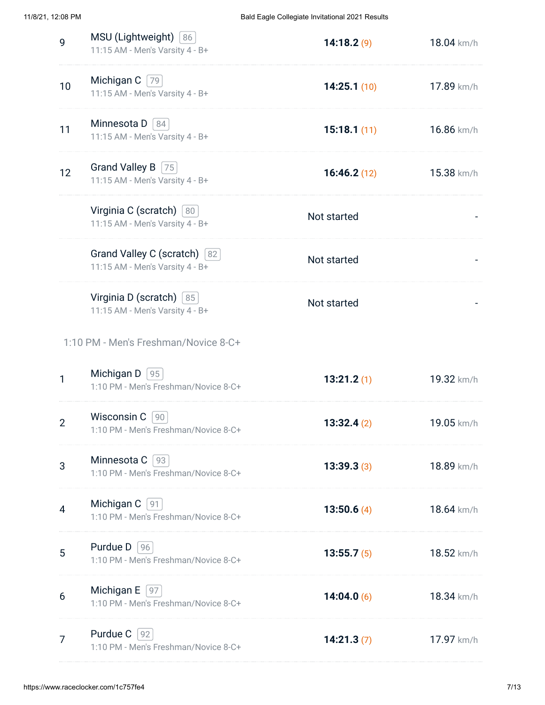| 9              | MSU (Lightweight) [86]<br>11:15 AM - Men's Varsity 4 - B+        | 14:18.2(9)    | 18.04 km/h |
|----------------|------------------------------------------------------------------|---------------|------------|
| 10             | Michigan $C$ [79]<br>11:15 AM - Men's Varsity 4 - B+             | 14:25.1(10)   | 17.89 km/h |
| 11             | Minnesota D   84<br>11:15 AM - Men's Varsity 4 - B+              | 15:18.1(11)   | 16.86 km/h |
| 12             | Grand Valley B   75<br>11:15 AM - Men's Varsity 4 - B+           | 16:46.2(12)   | 15.38 km/h |
|                | Virginia C (scratch) [80]<br>11:15 AM - Men's Varsity 4 - B+     | Not started   |            |
|                | Grand Valley C (scratch) [82]<br>11:15 AM - Men's Varsity 4 - B+ | Not started   |            |
|                | Virginia D (scratch) [85]<br>11:15 AM - Men's Varsity 4 - B+     | Not started   |            |
|                | 1:10 PM - Men's Freshman/Novice 8-C+                             |               |            |
|                |                                                                  |               |            |
| 1              | Michigan $D$ [95]<br>1:10 PM - Men's Freshman/Novice 8-C+        | 13:21.2(1)    | 19.32 km/h |
| $\overline{2}$ | Wisconsin C 90<br>1:10 PM - Men's Freshman/Novice 8-C+           | 13:32.4(2)    | 19.05 km/h |
| 3              | Minnesota C [93]<br>1:10 PM - Men's Freshman/Novice 8-C+         | 13:39.3(3)    | 18.89 km/h |
| 4              | Michigan $C$   91<br>1:10 PM - Men's Freshman/Novice 8-C+        | 13:50.6 $(4)$ | 18.64 km/h |
| 5              | <b>Purdue D</b> $ 96 $<br>1:10 PM - Men's Freshman/Novice 8-C+   | 13:55.7(5)    | 18.52 km/h |
| 6              | Michigan $E$  97<br>1:10 PM - Men's Freshman/Novice 8-C+         | 14:04.0 $(6)$ | 18.34 km/h |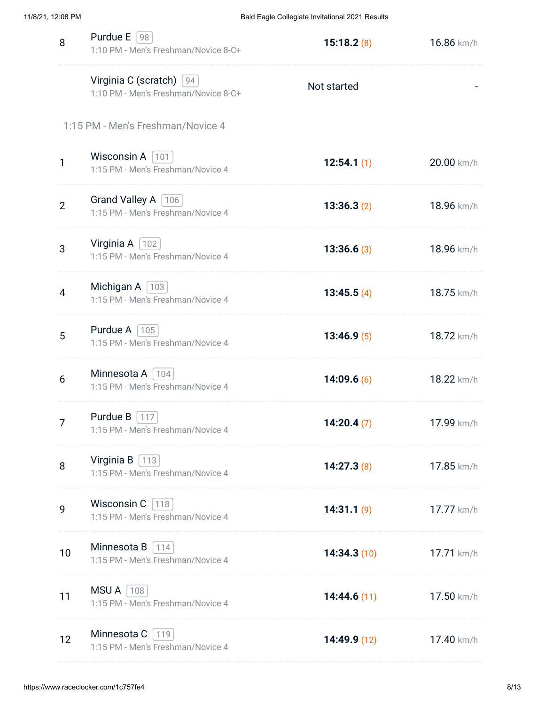| 8              | Purdue $E$ [98]<br>1:10 PM - Men's Freshman/Novice 8-C+           | 15:18.2(8)  | 16.86 km/h |
|----------------|-------------------------------------------------------------------|-------------|------------|
|                | Virginia C (scratch) [94]<br>1:10 PM - Men's Freshman/Novice 8-C+ | Not started |            |
|                | 1:15 PM - Men's Freshman/Novice 4                                 |             |            |
| $\mathbf{1}$   | Wisconsin A $ 101 $<br>1:15 PM - Men's Freshman/Novice 4          | 12:54.1(1)  | 20.00 km/h |
| $\overline{2}$ | Grand Valley A   106  <br>1:15 PM - Men's Freshman/Novice 4       | 13:36.3(2)  | 18.96 km/h |
| 3              | Virginia $A$   102<br>1:15 PM - Men's Freshman/Novice 4           | 13:36.6(3)  | 18.96 km/h |
| 4              | Michigan A $\vert$ 103<br>1:15 PM - Men's Freshman/Novice 4       | 13:45.5(4)  | 18.75 km/h |
| 5              | Purdue A $ 105 $<br>1:15 PM - Men's Freshman/Novice 4             | 13:46.9(5)  | 18.72 km/h |
| 6              | Minnesota A   104  <br>1:15 PM - Men's Freshman/Novice 4          | 14:09.6(6)  | 18.22 km/h |
| 7              | Purdue B $\left[$ 117<br>1:15 PM - Men's Freshman/Novice 4        | 14:20.4(7)  | 17.99 km/h |
| 8              | Virginia B $\lceil$ 113<br>1:15 PM - Men's Freshman/Novice 4      | 14:27.3(8)  | 17.85 km/h |
| 9              | Wisconsin C [118]<br>1:15 PM - Men's Freshman/Novice 4            | 14:31.1(9)  | 17.77 km/h |
| 10             | Minnesota B<br>$\mid$ 114<br>1:15 PM - Men's Freshman/Novice 4    | 14:34.3(10) | 17.71 km/h |
| 11             | $MSU A$   108<br>1:15 PM - Men's Freshman/Novice 4                | 14:44.6(11) | 17.50 km/h |
| 12             | Minnesota C<br>119<br>1:15 PM - Men's Freshman/Novice 4           | 14:49.9(12) | 17.40 km/h |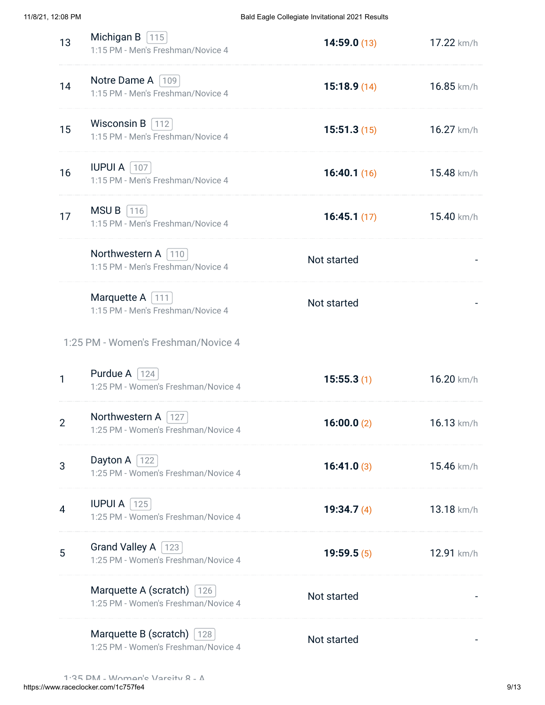| 13 | Michigan B $115$<br>1:15 PM - Men's Freshman/Novice 4                    | 14:59.0(13)   | 17.22 km/h      |
|----|--------------------------------------------------------------------------|---------------|-----------------|
| 14 | Notre Dame A   109  <br>1:15 PM - Men's Freshman/Novice 4                | 15:18.9(14)   | 16.85 km/h      |
| 15 | Wisconsin B $\vert$ 112<br>1:15 PM - Men's Freshman/Novice 4             | 15:51.3(15)   | 16.27 km/h      |
| 16 | <b>IUPUI A   107  </b><br>1:15 PM - Men's Freshman/Novice 4              | 16:40.1(16)   | 15.48 km/h      |
| 17 | MSU B<br>$ 116$<br>1:15 PM - Men's Freshman/Novice 4                     | 16:45.1(17)   | 15.40 km/h      |
|    | Northwestern A 110<br>1:15 PM - Men's Freshman/Novice 4                  | Not started   |                 |
|    | Marquette A   111<br>1:15 PM - Men's Freshman/Novice 4                   | Not started   |                 |
|    | 1:25 PM - Women's Freshman/Novice 4                                      |               |                 |
| 1  | Purdue A $\vert$ 124<br>1:25 PM - Women's Freshman/Novice 4              | 15:55.3(1)    | 16.20 km/h      |
| 2  | Northwestern A   127<br>1:25 PM - Women's Freshman/Novice 4              | 16:00.0(2)    | $16.13 \; km/h$ |
| 3  | Dayton A $ 122 $<br>1:25 PM - Women's Freshman/Novice 4                  | 16:41.0(3)    | 15.46 km/h      |
| 4  | <b>IUPUI A</b> $ 125 $<br>1:25 PM - Women's Freshman/Novice 4            | 19:34.7 $(4)$ | 13.18 km/h      |
| 5  | Grand Valley A   123<br>1:25 PM - Women's Freshman/Novice 4              | 19:59.5(5)    | 12.91 km/h      |
|    | Marquette A (scratch) $126$<br>1:25 PM - Women's Freshman/Novice 4       | Not started   |                 |
|    | Marquette B (scratch) $\vert$ 128<br>1:25 PM - Women's Freshman/Novice 4 | Not started   |                 |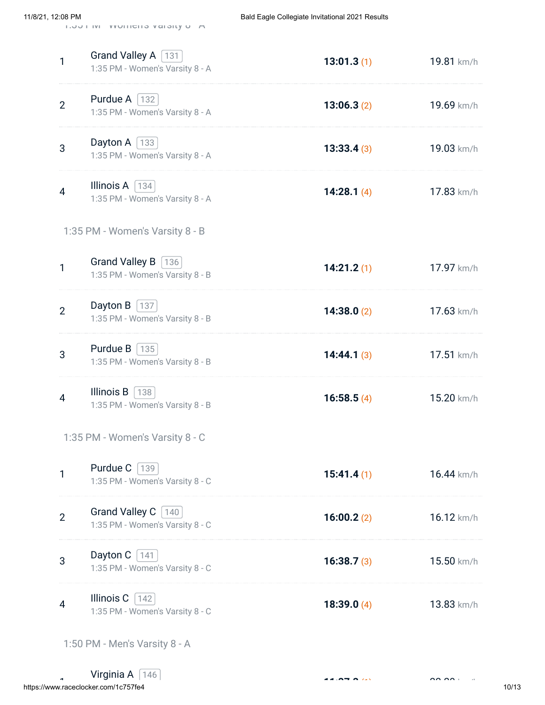| 11/8/21, 12:08 PM |                | $1.00111V1 - YVU111U110 YU101V1U - 77$                                                   | Bald Eagle Collegiate Invitational 2021 Results |                 |
|-------------------|----------------|------------------------------------------------------------------------------------------|-------------------------------------------------|-----------------|
|                   | 1              | Grand Valley A [131]<br>1:35 PM - Women's Varsity 8 - A                                  | 13:01.3(1)                                      | 19.81 km/h      |
|                   | $\overline{2}$ | Purdue A $\sqrt{132}$<br>1:35 PM - Women's Varsity 8 - A                                 | 13:06.3(2)                                      | 19.69 km/h      |
|                   | 3              | Dayton A $\vert$ 133<br>1:35 PM - Women's Varsity 8 - A                                  | 13:33.4(3)                                      | 19.03 km/h      |
|                   | 4              | Illinois A $\vert$ 134<br>1:35 PM - Women's Varsity 8 - A                                | 14:28.1 $(4)$                                   | 17.83 km/h      |
|                   |                | 1:35 PM - Women's Varsity 8 - B                                                          |                                                 |                 |
|                   | 1              | Grand Valley B [136]<br>1:35 PM - Women's Varsity 8 - B                                  | 14:21.2(1)                                      | 17.97 km/h      |
|                   | $\overline{2}$ | Dayton B $ 137 $<br>1:35 PM - Women's Varsity 8 - B                                      | 14:38.0(2)                                      | 17.63 km/h      |
|                   | 3              | <b>Purdue B</b> $ 135 $<br>1:35 PM - Women's Varsity 8 - B                               | 14:44.1(3)                                      | 17.51 km/h      |
|                   | 4              | Illinois B $\left\lfloor \frac{138}{2} \right\rfloor$<br>1:35 PM - Women's Varsity 8 - B | 16:58.5(4)                                      | 15.20 km/h      |
|                   |                | 1:35 PM - Women's Varsity 8 - C                                                          |                                                 |                 |
|                   | 1              | Purdue $C$ [139]<br>1:35 PM - Women's Varsity 8 - C                                      | 15:41.4(1)                                      | 16.44 km/h      |
|                   | $\overline{2}$ | Grand Valley C [140]<br>1:35 PM - Women's Varsity 8 - C                                  | 16:00.2(2)                                      | $16.12 \; km/h$ |

- 3 Dayton C  $\boxed{141}$ 1:35 PM - Women's Varsity 8 - C **16:38.7 (3)** 15.50 km/h 4 Illinois C  $\boxed{142}$ 1:35 PM - Women's Varsity 8 - C **18:39.0 (4)** 13.83 km/h
	- 1:50 PM Men's Varsity 8 A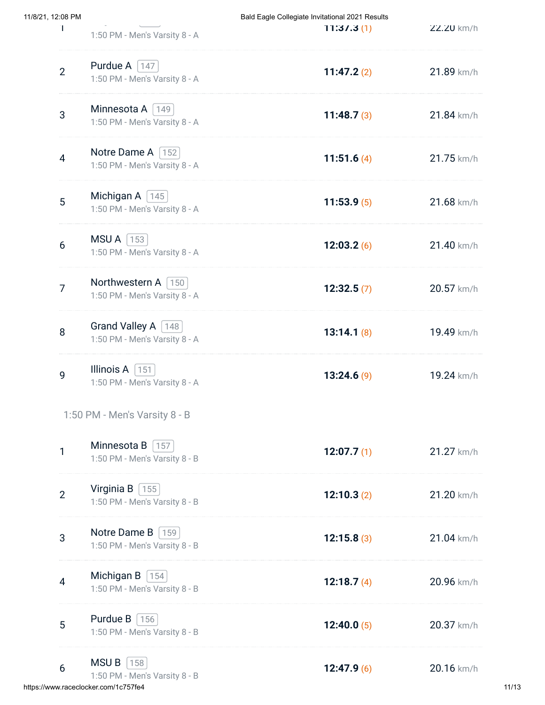| 11/8/21, 12:08 PM |                                                               | Bald Eagle Collegiate Invitational 2021 Results |            |
|-------------------|---------------------------------------------------------------|-------------------------------------------------|------------|
|                   | 1:50 PM - Men's Varsity 8 - A                                 | T1:37.3(1)                                      | ZZ.ZU km/h |
| $\overline{2}$    | Purdue A $\lceil 147 \rceil$<br>1:50 PM - Men's Varsity 8 - A | 11:47.2(2)                                      | 21.89 km/h |
| 3                 | Minnesota A [149]<br>1:50 PM - Men's Varsity 8 - A            | 11:48.7 $(3)$                                   | 21.84 km/h |
| $\overline{4}$    | Notre Dame A [152]<br>1:50 PM - Men's Varsity 8 - A           | 11:51.6 $(4)$                                   | 21.75 km/h |
| 5                 | Michigan A $\boxed{145}$<br>1:50 PM - Men's Varsity 8 - A     | 11:53.9(5)                                      | 21.68 km/h |
| 6                 | $MSU A$   153  <br>1:50 PM - Men's Varsity 8 - A              | 12:03.2(6)                                      | 21.40 km/h |
| $\overline{7}$    | Northwestern A   150  <br>1:50 PM - Men's Varsity 8 - A       | 12:32.5(7)                                      | 20.57 km/h |
| 8                 | Grand Valley A   148  <br>1:50 PM - Men's Varsity 8 - A       | 13:14.1(8)                                      | 19.49 km/h |
| 9                 | Illinois A $\vert$ 151<br>1:50 PM - Men's Varsity 8 - A       | 13:24.6(9)                                      | 19.24 km/h |
|                   | 1:50 PM - Men's Varsity 8 - B                                 |                                                 |            |
| 1                 | Minnesota B $\vert$ 157<br>1:50 PM - Men's Varsity 8 - B      | 12:07.7 $(1)$                                   | 21.27 km/h |
| $\overline{2}$    | Virginia B $\sqrt{155}$<br>1:50 PM - Men's Varsity 8 - B      | 12:10.3(2)                                      | 21.20 km/h |
| 3                 | Notre Dame B [159]<br>1:50 PM - Men's Varsity 8 - B           | 12:15.8(3)                                      | 21.04 km/h |
| 4                 | Michigan B $[154]$<br>1:50 PM - Men's Varsity 8 - B           | 12:18.7 $(4)$                                   | 20.96 km/h |
| 5                 | <b>Purdue B</b> $ 156 $<br>1:50 PM - Men's Varsity 8 - B      | 12:40.0 $(5)$                                   | 20.37 km/h |
| 6                 | $MSU B$   158  <br>1:50 PM - Men's Varsity 8 - B              | 12:47.9(6)                                      | 20.16 km/h |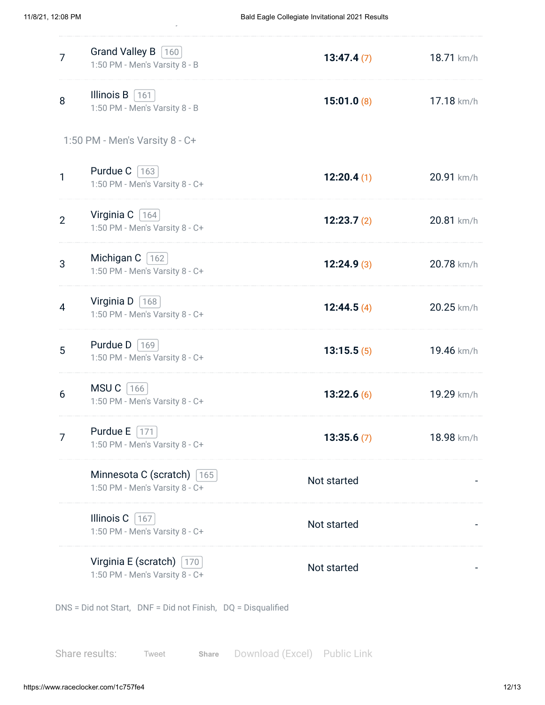| $\overline{7}$                 | Grand Valley B [160]<br>1:50 PM - Men's Varsity 8 - B          | 13:47.4(7)  | 18.71 km/h |
|--------------------------------|----------------------------------------------------------------|-------------|------------|
| 8                              | Illinois $B$ 161<br>1:50 PM - Men's Varsity 8 - B              | 15:01.0(8)  | 17.18 km/h |
| 1:50 PM - Men's Varsity 8 - C+ |                                                                |             |            |
| $\mathbf{1}$                   | Purdue $C$ [163]<br>1:50 PM - Men's Varsity 8 - C+             | 12:20.4(1)  | 20.91 km/h |
| $\overline{2}$                 | Virginia C $ 164 $<br>1:50 PM - Men's Varsity 8 - C+           | 12:23.7(2)  | 20.81 km/h |
| 3                              | Michigan C   162<br>1:50 PM - Men's Varsity 8 - C+             | 12:24.9(3)  | 20.78 km/h |
| $\overline{4}$                 | Virginia D $ 168 $<br>1:50 PM - Men's Varsity 8 - C+           | 12:44.5(4)  | 20.25 km/h |
| 5                              | Purdue $D$ [169]<br>1:50 PM - Men's Varsity 8 - C+             | 13:15.5(5)  | 19.46 km/h |
| 6                              | $MSU C$ 166<br>1:50 PM - Men's Varsity 8 - C+                  | 13:22.6(6)  | 19.29 km/h |
| 7                              | Purdue E<br>171<br>1:50 PM - Men's Varsity 8 - C+              | 13:35.6(7)  | 18.98 km/h |
|                                | Minnesota C (scratch) [165]<br>1:50 PM - Men's Varsity 8 - C+  | Not started |            |
|                                | Illinois C<br>167<br>1:50 PM - Men's Varsity 8 - C+            | Not started |            |
|                                | Virginia E (scratch) $ 170 $<br>1:50 PM - Men's Varsity 8 - C+ | Not started |            |

DNS = Did not Start, DNF = Did not Finish, DQ = Disqualified

y

Share results: [Tweet](https://twitter.com/intent/tweet?hashtags=raceclocker&original_referer=https%3A%2F%2Fwww.raceclocker.com%2F&ref_src=twsrc%5Etfw%7Ctwcamp%5Ebuttonembed%7Ctwterm%5Eshare%7Ctwgr%5E&text=Bald%20Eagle%20Collegiate%20Invitational%202021%20Results&url=http%3A%2F%2Fraceclocker.com%2F1c757fe4) Share Download (Excel) Public Link **[Share](https://www.facebook.com/sharer/sharer.php?kid_directed_site=0&sdk=joey&u=http%3A%2F%2Fraceclocker.com%2F1c757fe4&display=popup&ref=plugin&src=share_button)**